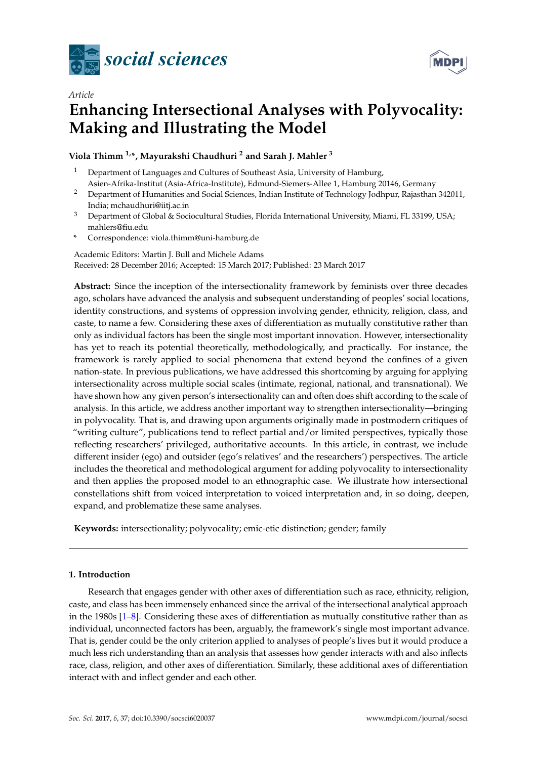

*Article*



# **Enhancing Intersectional Analyses with Polyvocality: Making and Illustrating the Model**

**Viola Thimm 1,\*, Mayurakshi Chaudhuri <sup>2</sup> and Sarah J. Mahler <sup>3</sup>**

- <sup>1</sup> Department of Languages and Cultures of Southeast Asia, University of Hamburg, Asien-Afrika-Institut (Asia-Africa-Institute), Edmund-Siemers-Allee 1, Hamburg 20146, Germany
- <sup>2</sup> Department of Humanities and Social Sciences, Indian Institute of Technology Jodhpur, Rajasthan 342011, India; mchaudhuri@iitj.ac.in
- <sup>3</sup> Department of Global & Sociocultural Studies, Florida International University, Miami, FL 33199, USA; mahlers@fiu.edu
- **\*** Correspondence: viola.thimm@uni-hamburg.de

Academic Editors: Martin J. Bull and Michele Adams

Received: 28 December 2016; Accepted: 15 March 2017; Published: 23 March 2017

**Abstract:** Since the inception of the intersectionality framework by feminists over three decades ago, scholars have advanced the analysis and subsequent understanding of peoples' social locations, identity constructions, and systems of oppression involving gender, ethnicity, religion, class, and caste, to name a few. Considering these axes of differentiation as mutually constitutive rather than only as individual factors has been the single most important innovation. However, intersectionality has yet to reach its potential theoretically, methodologically, and practically. For instance, the framework is rarely applied to social phenomena that extend beyond the confines of a given nation-state. In previous publications, we have addressed this shortcoming by arguing for applying intersectionality across multiple social scales (intimate, regional, national, and transnational). We have shown how any given person's intersectionality can and often does shift according to the scale of analysis. In this article, we address another important way to strengthen intersectionality—bringing in polyvocality. That is, and drawing upon arguments originally made in postmodern critiques of "writing culture", publications tend to reflect partial and/or limited perspectives, typically those reflecting researchers' privileged, authoritative accounts. In this article, in contrast, we include different insider (ego) and outsider (ego's relatives' and the researchers') perspectives. The article includes the theoretical and methodological argument for adding polyvocality to intersectionality and then applies the proposed model to an ethnographic case. We illustrate how intersectional constellations shift from voiced interpretation to voiced interpretation and, in so doing, deepen, expand, and problematize these same analyses.

**Keywords:** intersectionality; polyvocality; emic-etic distinction; gender; family

# **1. Introduction**

Research that engages gender with other axes of differentiation such as race, ethnicity, religion, caste, and class has been immensely enhanced since the arrival of the intersectional analytical approach in the 1980s [1–8]. Considering these axes of differentiation as mutually constitutive rather than as individual, unconnected factors has been, arguably, the framework's single most important advance. That is, gender could be the only criterion applied to analyses of people's lives but it would produce a much less rich understanding than an analysis that assesses how gender interacts with and also inflects race, class, religion, and other axes of differentiation. Similarly, these additional axes of differentiation interact with and inflect gender and each other.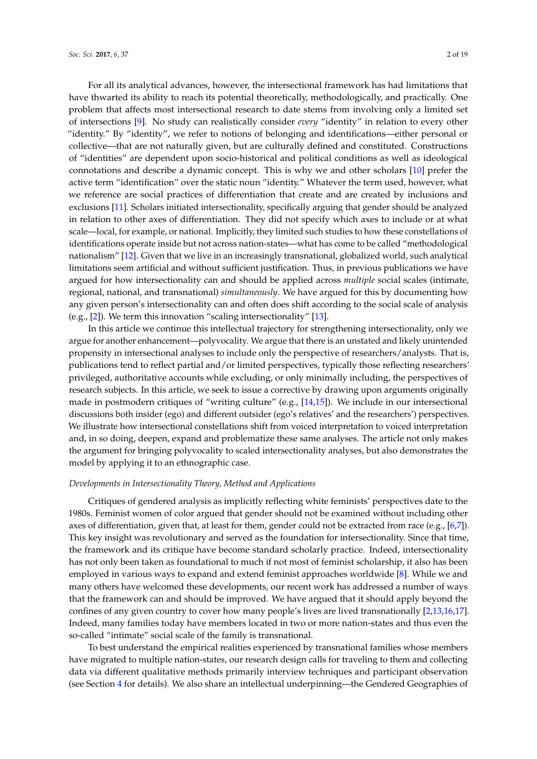For all its analytical advances, however, the intersectional framework has had limitations that have thwarted its ability to reach its potential theoretically, methodologically, and practically. One problem that affects most intersectional research to date stems from involving only a limited set of intersections [9]. No study can realistically consider *every* "identity" in relation to every other "identity." By "identity", we refer to notions of belonging and identifications—either personal or collective—that are not naturally given, but are culturally defined and constituted. Constructions of "identities" are dependent upon socio-historical and political conditions as well as ideological connotations and describe a dynamic concept. This is why we and other scholars [10] prefer the active term "identification" over the static noun "identity." Whatever the term used, however, what we reference are social practices of differentiation that create and are created by inclusions and exclusions [11]. Scholars initiated intersectionality, specifically arguing that gender should be analyzed in relation to other axes of differentiation. They did not specify which axes to include or at what scale—local, for example, or national. Implicitly, they limited such studies to how these constellations of identifications operate inside but not across nation-states—what has come to be called "methodological nationalism" [12]. Given that we live in an increasingly transnational, globalized world, such analytical limitations seem artificial and without sufficient justification. Thus, in previous publications we have argued for how intersectionality can and should be applied across *multiple* social scales (intimate, regional, national, and transnational) *simultaneously*. We have argued for this by documenting how any given person's intersectionality can and often does shift according to the social scale of analysis (e.g., [2]). We term this innovation "scaling intersectionality" [13].

In this article we continue this intellectual trajectory for strengthening intersectionality, only we argue for another enhancement—polyvocality. We argue that there is an unstated and likely unintended propensity in intersectional analyses to include only the perspective of researchers/analysts. That is, publications tend to reflect partial and/or limited perspectives, typically those reflecting researchers' privileged, authoritative accounts while excluding, or only minimally including, the perspectives of research subjects. In this article, we seek to issue a corrective by drawing upon arguments originally made in postmodern critiques of "writing culture" (e.g., [14,15]). We include in our intersectional discussions both insider (ego) and different outsider (ego's relatives' and the researchers') perspectives. We illustrate how intersectional constellations shift from voiced interpretation to voiced interpretation and, in so doing, deepen, expand and problematize these same analyses. The article not only makes the argument for bringing polyvocality to scaled intersectionality analyses, but also demonstrates the model by applying it to an ethnographic case.

## *Developments in Intersectionality Theory, Method and Applications*

Critiques of gendered analysis as implicitly reflecting white feminists' perspectives date to the 1980s. Feminist women of color argued that gender should not be examined without including other axes of differentiation, given that, at least for them, gender could not be extracted from race (e.g., [6,7]). This key insight was revolutionary and served as the foundation for intersectionality. Since that time, the framework and its critique have become standard scholarly practice. Indeed, intersectionality has not only been taken as foundational to much if not most of feminist scholarship, it also has been employed in various ways to expand and extend feminist approaches worldwide [8]. While we and many others have welcomed these developments, our recent work has addressed a number of ways that the framework can and should be improved. We have argued that it should apply beyond the confines of any given country to cover how many people's lives are lived transnationally [2,13,16,17]. Indeed, many families today have members located in two or more nation-states and thus even the so-called "intimate" social scale of the family is transnational.

To best understand the empirical realities experienced by transnational families whose members have migrated to multiple nation-states, our research design calls for traveling to them and collecting data via different qualitative methods primarily interview techniques and participant observation (see Section 4 for details). We also share an intellectual underpinning—the Gendered Geographies of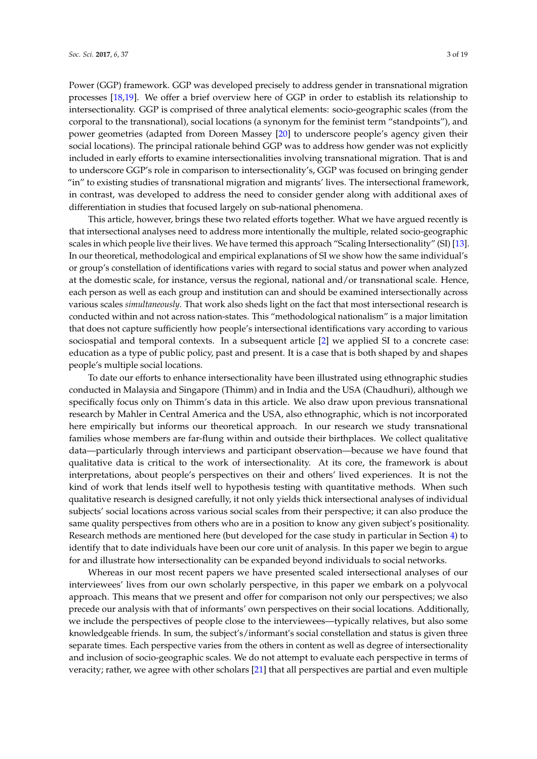Power (GGP) framework. GGP was developed precisely to address gender in transnational migration processes [18,19]. We offer a brief overview here of GGP in order to establish its relationship to intersectionality. GGP is comprised of three analytical elements: socio-geographic scales (from the corporal to the transnational), social locations (a synonym for the feminist term "standpoints"), and power geometries (adapted from Doreen Massey [20] to underscore people's agency given their social locations). The principal rationale behind GGP was to address how gender was not explicitly included in early efforts to examine intersectionalities involving transnational migration. That is and to underscore GGP's role in comparison to intersectionality's, GGP was focused on bringing gender "in" to existing studies of transnational migration and migrants' lives. The intersectional framework, in contrast, was developed to address the need to consider gender along with additional axes of differentiation in studies that focused largely on sub-national phenomena.

This article, however, brings these two related efforts together. What we have argued recently is that intersectional analyses need to address more intentionally the multiple, related socio-geographic scales in which people live their lives. We have termed this approach "Scaling Intersectionality" (SI) [13]. In our theoretical, methodological and empirical explanations of SI we show how the same individual's or group's constellation of identifications varies with regard to social status and power when analyzed at the domestic scale, for instance, versus the regional, national and/or transnational scale. Hence, each person as well as each group and institution can and should be examined intersectionally across various scales *simultaneously*. That work also sheds light on the fact that most intersectional research is conducted within and not across nation-states. This "methodological nationalism" is a major limitation that does not capture sufficiently how people's intersectional identifications vary according to various sociospatial and temporal contexts. In a subsequent article [2] we applied SI to a concrete case: education as a type of public policy, past and present. It is a case that is both shaped by and shapes people's multiple social locations.

To date our efforts to enhance intersectionality have been illustrated using ethnographic studies conducted in Malaysia and Singapore (Thimm) and in India and the USA (Chaudhuri), although we specifically focus only on Thimm's data in this article. We also draw upon previous transnational research by Mahler in Central America and the USA, also ethnographic, which is not incorporated here empirically but informs our theoretical approach. In our research we study transnational families whose members are far-flung within and outside their birthplaces. We collect qualitative data—particularly through interviews and participant observation—because we have found that qualitative data is critical to the work of intersectionality. At its core, the framework is about interpretations, about people's perspectives on their and others' lived experiences. It is not the kind of work that lends itself well to hypothesis testing with quantitative methods. When such qualitative research is designed carefully, it not only yields thick intersectional analyses of individual subjects' social locations across various social scales from their perspective; it can also produce the same quality perspectives from others who are in a position to know any given subject's positionality. Research methods are mentioned here (but developed for the case study in particular in Section 4) to identify that to date individuals have been our core unit of analysis. In this paper we begin to argue for and illustrate how intersectionality can be expanded beyond individuals to social networks.

Whereas in our most recent papers we have presented scaled intersectional analyses of our interviewees' lives from our own scholarly perspective, in this paper we embark on a polyvocal approach. This means that we present and offer for comparison not only our perspectives; we also precede our analysis with that of informants' own perspectives on their social locations. Additionally, we include the perspectives of people close to the interviewees—typically relatives, but also some knowledgeable friends. In sum, the subject's/informant's social constellation and status is given three separate times. Each perspective varies from the others in content as well as degree of intersectionality and inclusion of socio-geographic scales. We do not attempt to evaluate each perspective in terms of veracity; rather, we agree with other scholars [21] that all perspectives are partial and even multiple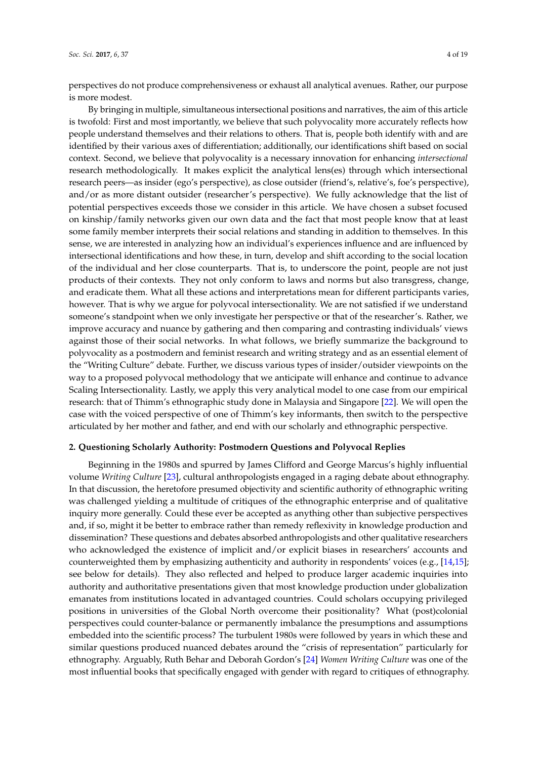perspectives do not produce comprehensiveness or exhaust all analytical avenues. Rather, our purpose is more modest.

By bringing in multiple, simultaneous intersectional positions and narratives, the aim of this article is twofold: First and most importantly, we believe that such polyvocality more accurately reflects how people understand themselves and their relations to others. That is, people both identify with and are identified by their various axes of differentiation; additionally, our identifications shift based on social context. Second, we believe that polyvocality is a necessary innovation for enhancing *intersectional* research methodologically. It makes explicit the analytical lens(es) through which intersectional research peers—as insider (ego's perspective), as close outsider (friend's, relative's, foe's perspective), and/or as more distant outsider (researcher's perspective). We fully acknowledge that the list of potential perspectives exceeds those we consider in this article. We have chosen a subset focused on kinship/family networks given our own data and the fact that most people know that at least some family member interprets their social relations and standing in addition to themselves. In this sense, we are interested in analyzing how an individual's experiences influence and are influenced by intersectional identifications and how these, in turn, develop and shift according to the social location of the individual and her close counterparts. That is, to underscore the point, people are not just products of their contexts. They not only conform to laws and norms but also transgress, change, and eradicate them. What all these actions and interpretations mean for different participants varies, however. That is why we argue for polyvocal intersectionality. We are not satisfied if we understand someone's standpoint when we only investigate her perspective or that of the researcher's. Rather, we improve accuracy and nuance by gathering and then comparing and contrasting individuals' views against those of their social networks. In what follows, we briefly summarize the background to polyvocality as a postmodern and feminist research and writing strategy and as an essential element of the "Writing Culture" debate. Further, we discuss various types of insider/outsider viewpoints on the way to a proposed polyvocal methodology that we anticipate will enhance and continue to advance Scaling Intersectionality. Lastly, we apply this very analytical model to one case from our empirical research: that of Thimm's ethnographic study done in Malaysia and Singapore [22]. We will open the case with the voiced perspective of one of Thimm's key informants, then switch to the perspective articulated by her mother and father, and end with our scholarly and ethnographic perspective.

# **2. Questioning Scholarly Authority: Postmodern Questions and Polyvocal Replies**

Beginning in the 1980s and spurred by James Clifford and George Marcus's highly influential volume *Writing Culture* [23], cultural anthropologists engaged in a raging debate about ethnography. In that discussion, the heretofore presumed objectivity and scientific authority of ethnographic writing was challenged yielding a multitude of critiques of the ethnographic enterprise and of qualitative inquiry more generally. Could these ever be accepted as anything other than subjective perspectives and, if so, might it be better to embrace rather than remedy reflexivity in knowledge production and dissemination? These questions and debates absorbed anthropologists and other qualitative researchers who acknowledged the existence of implicit and/or explicit biases in researchers' accounts and counterweighted them by emphasizing authenticity and authority in respondents' voices (e.g., [14,15]; see below for details). They also reflected and helped to produce larger academic inquiries into authority and authoritative presentations given that most knowledge production under globalization emanates from institutions located in advantaged countries. Could scholars occupying privileged positions in universities of the Global North overcome their positionality? What (post)colonial perspectives could counter-balance or permanently imbalance the presumptions and assumptions embedded into the scientific process? The turbulent 1980s were followed by years in which these and similar questions produced nuanced debates around the "crisis of representation" particularly for ethnography. Arguably, Ruth Behar and Deborah Gordon's [24] *Women Writing Culture* was one of the most influential books that specifically engaged with gender with regard to critiques of ethnography.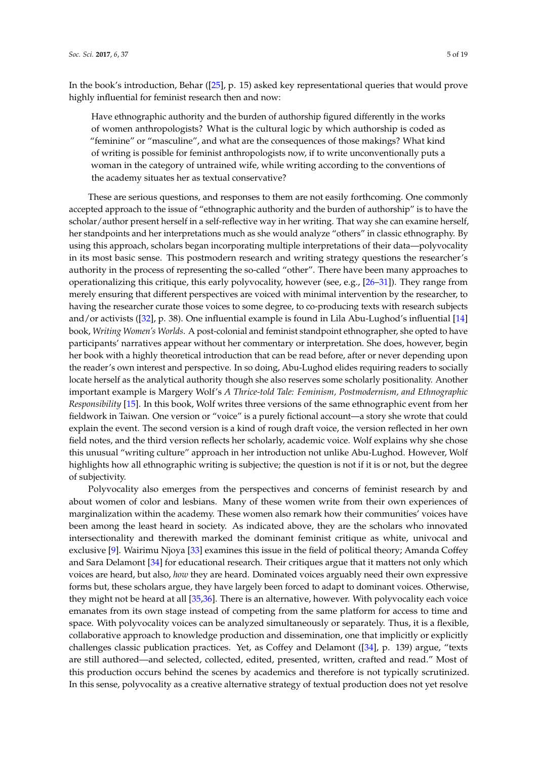In the book's introduction, Behar ([25], p. 15) asked key representational queries that would prove highly influential for feminist research then and now:

Have ethnographic authority and the burden of authorship figured differently in the works of women anthropologists? What is the cultural logic by which authorship is coded as "feminine" or "masculine", and what are the consequences of those makings? What kind of writing is possible for feminist anthropologists now, if to write unconventionally puts a woman in the category of untrained wife, while writing according to the conventions of the academy situates her as textual conservative?

These are serious questions, and responses to them are not easily forthcoming. One commonly accepted approach to the issue of "ethnographic authority and the burden of authorship" is to have the scholar/author present herself in a self-reflective way in her writing. That way she can examine herself, her standpoints and her interpretations much as she would analyze "others" in classic ethnography. By using this approach, scholars began incorporating multiple interpretations of their data—polyvocality in its most basic sense. This postmodern research and writing strategy questions the researcher's authority in the process of representing the so-called "other". There have been many approaches to operationalizing this critique, this early polyvocality, however (see, e.g., [26–31]). They range from merely ensuring that different perspectives are voiced with minimal intervention by the researcher, to having the researcher curate those voices to some degree, to co-producing texts with research subjects and/or activists ([32], p. 38). One influential example is found in Lila Abu-Lughod's influential [14] book, *Writing Women's Worlds*. A post-colonial and feminist standpoint ethnographer, she opted to have participants' narratives appear without her commentary or interpretation. She does, however, begin her book with a highly theoretical introduction that can be read before, after or never depending upon the reader's own interest and perspective. In so doing, Abu-Lughod elides requiring readers to socially locate herself as the analytical authority though she also reserves some scholarly positionality. Another important example is Margery Wolf's *A Thrice-told Tale: Feminism, Postmodernism, and Ethnographic Responsibility* [15]. In this book, Wolf writes three versions of the same ethnographic event from her fieldwork in Taiwan. One version or "voice" is a purely fictional account—a story she wrote that could explain the event. The second version is a kind of rough draft voice, the version reflected in her own field notes, and the third version reflects her scholarly, academic voice. Wolf explains why she chose this unusual "writing culture" approach in her introduction not unlike Abu-Lughod. However, Wolf highlights how all ethnographic writing is subjective; the question is not if it is or not, but the degree of subjectivity.

Polyvocality also emerges from the perspectives and concerns of feminist research by and about women of color and lesbians. Many of these women write from their own experiences of marginalization within the academy. These women also remark how their communities' voices have been among the least heard in society. As indicated above, they are the scholars who innovated intersectionality and therewith marked the dominant feminist critique as white, univocal and exclusive [9]. Wairimu Njoya [33] examines this issue in the field of political theory; Amanda Coffey and Sara Delamont [34] for educational research. Their critiques argue that it matters not only which voices are heard, but also, *how* they are heard. Dominated voices arguably need their own expressive forms but, these scholars argue, they have largely been forced to adapt to dominant voices. Otherwise, they might not be heard at all [35,36]. There is an alternative, however. With polyvocality each voice emanates from its own stage instead of competing from the same platform for access to time and space. With polyvocality voices can be analyzed simultaneously or separately. Thus, it is a flexible, collaborative approach to knowledge production and dissemination, one that implicitly or explicitly challenges classic publication practices. Yet, as Coffey and Delamont ([34], p. 139) argue, "texts are still authored—and selected, collected, edited, presented, written, crafted and read." Most of this production occurs behind the scenes by academics and therefore is not typically scrutinized. In this sense, polyvocality as a creative alternative strategy of textual production does not yet resolve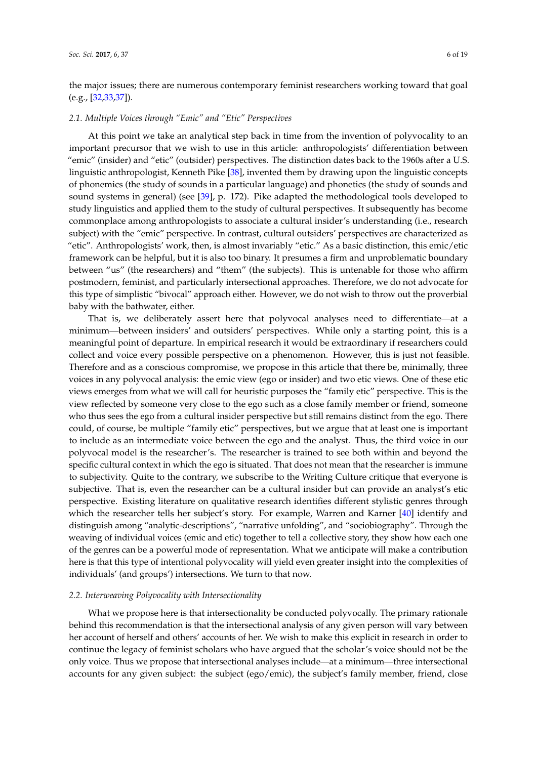the major issues; there are numerous contemporary feminist researchers working toward that goal  $(e.g., [32,33,37]).$ 

#### *2.1. Multiple Voices through "Emic" and "Etic" Perspectives*

At this point we take an analytical step back in time from the invention of polyvocality to an important precursor that we wish to use in this article: anthropologists' differentiation between "emic" (insider) and "etic" (outsider) perspectives. The distinction dates back to the 1960s after a U.S. linguistic anthropologist, Kenneth Pike [38], invented them by drawing upon the linguistic concepts of phonemics (the study of sounds in a particular language) and phonetics (the study of sounds and sound systems in general) (see [39], p. 172). Pike adapted the methodological tools developed to study linguistics and applied them to the study of cultural perspectives. It subsequently has become commonplace among anthropologists to associate a cultural insider's understanding (i.e., research subject) with the "emic" perspective. In contrast, cultural outsiders' perspectives are characterized as "etic". Anthropologists' work, then, is almost invariably "etic." As a basic distinction, this emic/etic framework can be helpful, but it is also too binary. It presumes a firm and unproblematic boundary between "us" (the researchers) and "them" (the subjects). This is untenable for those who affirm postmodern, feminist, and particularly intersectional approaches. Therefore, we do not advocate for this type of simplistic "bivocal" approach either. However, we do not wish to throw out the proverbial baby with the bathwater, either.

That is, we deliberately assert here that polyvocal analyses need to differentiate—at a minimum—between insiders' and outsiders' perspectives. While only a starting point, this is a meaningful point of departure. In empirical research it would be extraordinary if researchers could collect and voice every possible perspective on a phenomenon. However, this is just not feasible. Therefore and as a conscious compromise, we propose in this article that there be, minimally, three voices in any polyvocal analysis: the emic view (ego or insider) and two etic views. One of these etic views emerges from what we will call for heuristic purposes the "family etic" perspective. This is the view reflected by someone very close to the ego such as a close family member or friend, someone who thus sees the ego from a cultural insider perspective but still remains distinct from the ego. There could, of course, be multiple "family etic" perspectives, but we argue that at least one is important to include as an intermediate voice between the ego and the analyst. Thus, the third voice in our polyvocal model is the researcher's. The researcher is trained to see both within and beyond the specific cultural context in which the ego is situated. That does not mean that the researcher is immune to subjectivity. Quite to the contrary, we subscribe to the Writing Culture critique that everyone is subjective. That is, even the researcher can be a cultural insider but can provide an analyst's etic perspective. Existing literature on qualitative research identifies different stylistic genres through which the researcher tells her subject's story. For example, Warren and Karner [40] identify and distinguish among "analytic-descriptions", "narrative unfolding", and "sociobiography". Through the weaving of individual voices (emic and etic) together to tell a collective story, they show how each one of the genres can be a powerful mode of representation. What we anticipate will make a contribution here is that this type of intentional polyvocality will yield even greater insight into the complexities of individuals' (and groups') intersections. We turn to that now.

### *2.2. Interweaving Polyvocality with Intersectionality*

What we propose here is that intersectionality be conducted polyvocally. The primary rationale behind this recommendation is that the intersectional analysis of any given person will vary between her account of herself and others' accounts of her. We wish to make this explicit in research in order to continue the legacy of feminist scholars who have argued that the scholar's voice should not be the only voice. Thus we propose that intersectional analyses include—at a minimum—three intersectional accounts for any given subject: the subject (ego/emic), the subject's family member, friend, close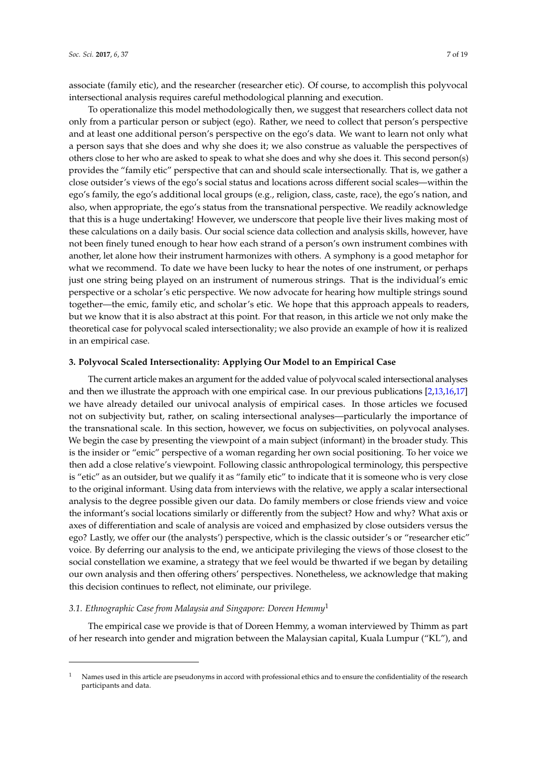associate (family etic), and the researcher (researcher etic). Of course, to accomplish this polyvocal intersectional analysis requires careful methodological planning and execution.

To operationalize this model methodologically then, we suggest that researchers collect data not only from a particular person or subject (ego). Rather, we need to collect that person's perspective and at least one additional person's perspective on the ego's data. We want to learn not only what a person says that she does and why she does it; we also construe as valuable the perspectives of others close to her who are asked to speak to what she does and why she does it. This second person(s) provides the "family etic" perspective that can and should scale intersectionally. That is, we gather a close outsider's views of the ego's social status and locations across different social scales—within the ego's family, the ego's additional local groups (e.g., religion, class, caste, race), the ego's nation, and also, when appropriate, the ego's status from the transnational perspective. We readily acknowledge that this is a huge undertaking! However, we underscore that people live their lives making most of these calculations on a daily basis. Our social science data collection and analysis skills, however, have not been finely tuned enough to hear how each strand of a person's own instrument combines with another, let alone how their instrument harmonizes with others. A symphony is a good metaphor for what we recommend. To date we have been lucky to hear the notes of one instrument, or perhaps just one string being played on an instrument of numerous strings. That is the individual's emic perspective or a scholar's etic perspective. We now advocate for hearing how multiple strings sound together—the emic, family etic, and scholar's etic. We hope that this approach appeals to readers, but we know that it is also abstract at this point. For that reason, in this article we not only make the theoretical case for polyvocal scaled intersectionality; we also provide an example of how it is realized in an empirical case.

### **3. Polyvocal Scaled Intersectionality: Applying Our Model to an Empirical Case**

The current article makes an argument for the added value of polyvocal scaled intersectional analyses and then we illustrate the approach with one empirical case. In our previous publications [2,13,16,17] we have already detailed our univocal analysis of empirical cases. In those articles we focused not on subjectivity but, rather, on scaling intersectional analyses—particularly the importance of the transnational scale. In this section, however, we focus on subjectivities, on polyvocal analyses. We begin the case by presenting the viewpoint of a main subject (informant) in the broader study. This is the insider or "emic" perspective of a woman regarding her own social positioning. To her voice we then add a close relative's viewpoint. Following classic anthropological terminology, this perspective is "etic" as an outsider, but we qualify it as "family etic" to indicate that it is someone who is very close to the original informant. Using data from interviews with the relative, we apply a scalar intersectional analysis to the degree possible given our data. Do family members or close friends view and voice the informant's social locations similarly or differently from the subject? How and why? What axis or axes of differentiation and scale of analysis are voiced and emphasized by close outsiders versus the ego? Lastly, we offer our (the analysts') perspective, which is the classic outsider's or "researcher etic" voice. By deferring our analysis to the end, we anticipate privileging the views of those closest to the social constellation we examine, a strategy that we feel would be thwarted if we began by detailing our own analysis and then offering others' perspectives. Nonetheless, we acknowledge that making this decision continues to reflect, not eliminate, our privilege.

### *3.1. Ethnographic Case from Malaysia and Singapore: Doreen Hemmy*<sup>1</sup>

The empirical case we provide is that of Doreen Hemmy, a woman interviewed by Thimm as part of her research into gender and migration between the Malaysian capital, Kuala Lumpur ("KL"), and

<sup>1</sup> Names used in this article are pseudonyms in accord with professional ethics and to ensure the confidentiality of the research participants and data.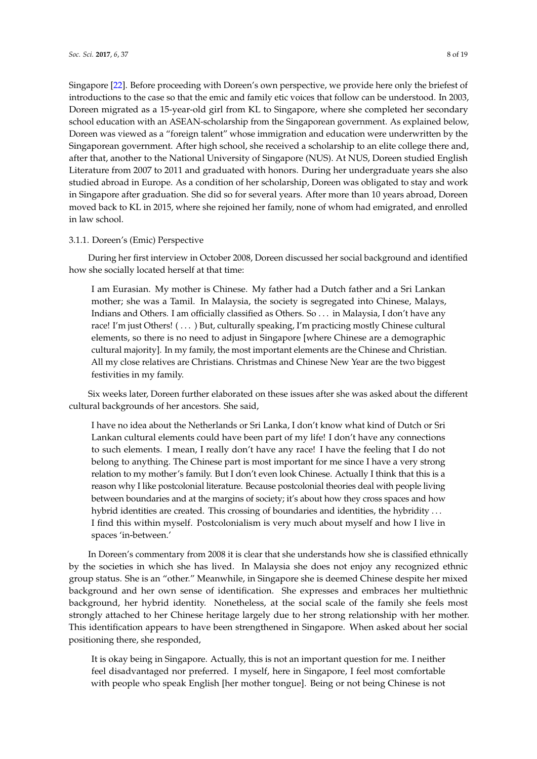Singapore [22]. Before proceeding with Doreen's own perspective, we provide here only the briefest of introductions to the case so that the emic and family etic voices that follow can be understood. In 2003, Doreen migrated as a 15-year-old girl from KL to Singapore, where she completed her secondary school education with an ASEAN-scholarship from the Singaporean government. As explained below, Doreen was viewed as a "foreign talent" whose immigration and education were underwritten by the Singaporean government. After high school, she received a scholarship to an elite college there and, after that, another to the National University of Singapore (NUS). At NUS, Doreen studied English Literature from 2007 to 2011 and graduated with honors. During her undergraduate years she also studied abroad in Europe. As a condition of her scholarship, Doreen was obligated to stay and work in Singapore after graduation. She did so for several years. After more than 10 years abroad, Doreen moved back to KL in 2015, where she rejoined her family, none of whom had emigrated, and enrolled in law school.

### 3.1.1. Doreen's (Emic) Perspective

During her first interview in October 2008, Doreen discussed her social background and identified how she socially located herself at that time:

I am Eurasian. My mother is Chinese. My father had a Dutch father and a Sri Lankan mother; she was a Tamil. In Malaysia, the society is segregated into Chinese, Malays, Indians and Others. I am officially classified as Others. So . . . in Malaysia, I don't have any race! I'm just Others! ( . . . ) But, culturally speaking, I'm practicing mostly Chinese cultural elements, so there is no need to adjust in Singapore [where Chinese are a demographic cultural majority]. In my family, the most important elements are the Chinese and Christian. All my close relatives are Christians. Christmas and Chinese New Year are the two biggest festivities in my family.

Six weeks later, Doreen further elaborated on these issues after she was asked about the different cultural backgrounds of her ancestors. She said,

I have no idea about the Netherlands or Sri Lanka, I don't know what kind of Dutch or Sri Lankan cultural elements could have been part of my life! I don't have any connections to such elements. I mean, I really don't have any race! I have the feeling that I do not belong to anything. The Chinese part is most important for me since I have a very strong relation to my mother's family. But I don't even look Chinese. Actually I think that this is a reason why I like postcolonial literature. Because postcolonial theories deal with people living between boundaries and at the margins of society; it's about how they cross spaces and how hybrid identities are created. This crossing of boundaries and identities, the hybridity ... I find this within myself. Postcolonialism is very much about myself and how I live in spaces 'in-between.'

In Doreen's commentary from 2008 it is clear that she understands how she is classified ethnically by the societies in which she has lived. In Malaysia she does not enjoy any recognized ethnic group status. She is an "other." Meanwhile, in Singapore she is deemed Chinese despite her mixed background and her own sense of identification. She expresses and embraces her multiethnic background, her hybrid identity. Nonetheless, at the social scale of the family she feels most strongly attached to her Chinese heritage largely due to her strong relationship with her mother. This identification appears to have been strengthened in Singapore. When asked about her social positioning there, she responded,

It is okay being in Singapore. Actually, this is not an important question for me. I neither feel disadvantaged nor preferred. I myself, here in Singapore, I feel most comfortable with people who speak English [her mother tongue]. Being or not being Chinese is not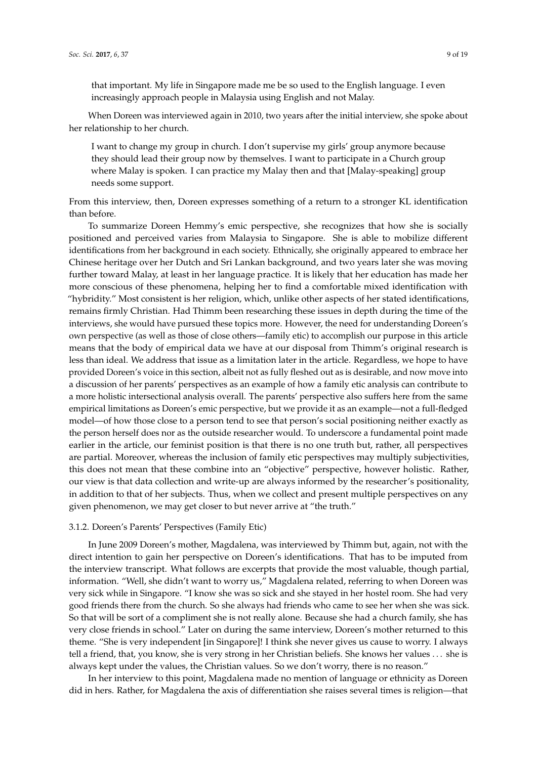that important. My life in Singapore made me be so used to the English language. I even increasingly approach people in Malaysia using English and not Malay.

When Doreen was interviewed again in 2010, two years after the initial interview, she spoke about her relationship to her church.

I want to change my group in church. I don't supervise my girls' group anymore because they should lead their group now by themselves. I want to participate in a Church group where Malay is spoken. I can practice my Malay then and that [Malay-speaking] group needs some support.

From this interview, then, Doreen expresses something of a return to a stronger KL identification than before.

To summarize Doreen Hemmy's emic perspective, she recognizes that how she is socially positioned and perceived varies from Malaysia to Singapore. She is able to mobilize different identifications from her background in each society. Ethnically, she originally appeared to embrace her Chinese heritage over her Dutch and Sri Lankan background, and two years later she was moving further toward Malay, at least in her language practice. It is likely that her education has made her more conscious of these phenomena, helping her to find a comfortable mixed identification with "hybridity." Most consistent is her religion, which, unlike other aspects of her stated identifications, remains firmly Christian. Had Thimm been researching these issues in depth during the time of the interviews, she would have pursued these topics more. However, the need for understanding Doreen's own perspective (as well as those of close others—family etic) to accomplish our purpose in this article means that the body of empirical data we have at our disposal from Thimm's original research is less than ideal. We address that issue as a limitation later in the article. Regardless, we hope to have provided Doreen's voice in this section, albeit not as fully fleshed out as is desirable, and now move into a discussion of her parents' perspectives as an example of how a family etic analysis can contribute to a more holistic intersectional analysis overall. The parents' perspective also suffers here from the same empirical limitations as Doreen's emic perspective, but we provide it as an example—not a full-fledged model—of how those close to a person tend to see that person's social positioning neither exactly as the person herself does nor as the outside researcher would. To underscore a fundamental point made earlier in the article, our feminist position is that there is no one truth but, rather, all perspectives are partial. Moreover, whereas the inclusion of family etic perspectives may multiply subjectivities, this does not mean that these combine into an "objective" perspective, however holistic. Rather, our view is that data collection and write-up are always informed by the researcher's positionality, in addition to that of her subjects. Thus, when we collect and present multiple perspectives on any given phenomenon, we may get closer to but never arrive at "the truth."

### 3.1.2. Doreen's Parents' Perspectives (Family Etic)

In June 2009 Doreen's mother, Magdalena, was interviewed by Thimm but, again, not with the direct intention to gain her perspective on Doreen's identifications. That has to be imputed from the interview transcript. What follows are excerpts that provide the most valuable, though partial, information. "Well, she didn't want to worry us," Magdalena related, referring to when Doreen was very sick while in Singapore. "I know she was so sick and she stayed in her hostel room. She had very good friends there from the church. So she always had friends who came to see her when she was sick. So that will be sort of a compliment she is not really alone. Because she had a church family, she has very close friends in school." Later on during the same interview, Doreen's mother returned to this theme. "She is very independent [in Singapore]! I think she never gives us cause to worry. I always tell a friend, that, you know, she is very strong in her Christian beliefs. She knows her values . . . she is always kept under the values, the Christian values. So we don't worry, there is no reason."

In her interview to this point, Magdalena made no mention of language or ethnicity as Doreen did in hers. Rather, for Magdalena the axis of differentiation she raises several times is religion—that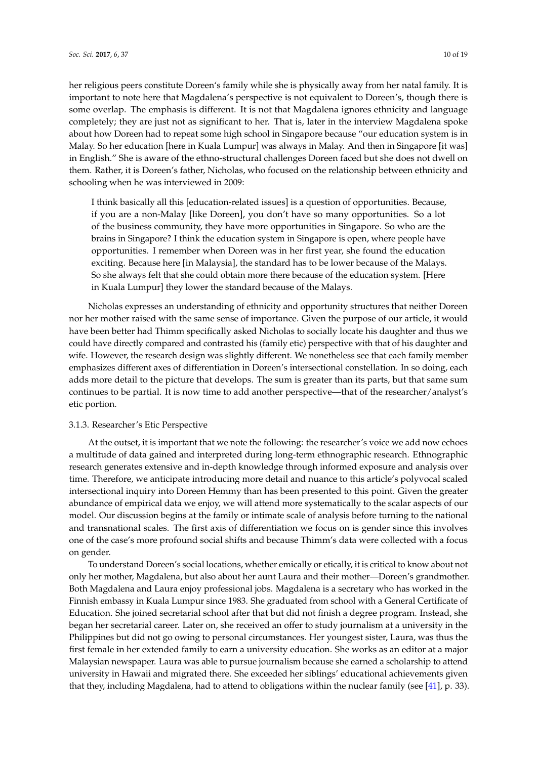her religious peers constitute Doreen's family while she is physically away from her natal family. It is important to note here that Magdalena's perspective is not equivalent to Doreen's, though there is some overlap. The emphasis is different. It is not that Magdalena ignores ethnicity and language completely; they are just not as significant to her. That is, later in the interview Magdalena spoke about how Doreen had to repeat some high school in Singapore because "our education system is in Malay. So her education [here in Kuala Lumpur] was always in Malay. And then in Singapore [it was]

in English." She is aware of the ethno-structural challenges Doreen faced but she does not dwell on them. Rather, it is Doreen's father, Nicholas, who focused on the relationship between ethnicity and schooling when he was interviewed in 2009:

I think basically all this [education-related issues] is a question of opportunities. Because, if you are a non-Malay [like Doreen], you don't have so many opportunities. So a lot of the business community, they have more opportunities in Singapore. So who are the brains in Singapore? I think the education system in Singapore is open, where people have opportunities. I remember when Doreen was in her first year, she found the education exciting. Because here [in Malaysia], the standard has to be lower because of the Malays. So she always felt that she could obtain more there because of the education system. [Here in Kuala Lumpur] they lower the standard because of the Malays.

Nicholas expresses an understanding of ethnicity and opportunity structures that neither Doreen nor her mother raised with the same sense of importance. Given the purpose of our article, it would have been better had Thimm specifically asked Nicholas to socially locate his daughter and thus we could have directly compared and contrasted his (family etic) perspective with that of his daughter and wife. However, the research design was slightly different. We nonetheless see that each family member emphasizes different axes of differentiation in Doreen's intersectional constellation. In so doing, each adds more detail to the picture that develops. The sum is greater than its parts, but that same sum continues to be partial. It is now time to add another perspective—that of the researcher/analyst's etic portion.

# 3.1.3. Researcher's Etic Perspective

At the outset, it is important that we note the following: the researcher's voice we add now echoes a multitude of data gained and interpreted during long-term ethnographic research. Ethnographic research generates extensive and in-depth knowledge through informed exposure and analysis over time. Therefore, we anticipate introducing more detail and nuance to this article's polyvocal scaled intersectional inquiry into Doreen Hemmy than has been presented to this point. Given the greater abundance of empirical data we enjoy, we will attend more systematically to the scalar aspects of our model. Our discussion begins at the family or intimate scale of analysis before turning to the national and transnational scales. The first axis of differentiation we focus on is gender since this involves one of the case's more profound social shifts and because Thimm's data were collected with a focus on gender.

To understand Doreen's social locations, whether emically or etically, it is critical to know about not only her mother, Magdalena, but also about her aunt Laura and their mother—Doreen's grandmother. Both Magdalena and Laura enjoy professional jobs. Magdalena is a secretary who has worked in the Finnish embassy in Kuala Lumpur since 1983. She graduated from school with a General Certificate of Education. She joined secretarial school after that but did not finish a degree program. Instead, she began her secretarial career. Later on, she received an offer to study journalism at a university in the Philippines but did not go owing to personal circumstances. Her youngest sister, Laura, was thus the first female in her extended family to earn a university education. She works as an editor at a major Malaysian newspaper. Laura was able to pursue journalism because she earned a scholarship to attend university in Hawaii and migrated there. She exceeded her siblings' educational achievements given that they, including Magdalena, had to attend to obligations within the nuclear family (see [41], p. 33).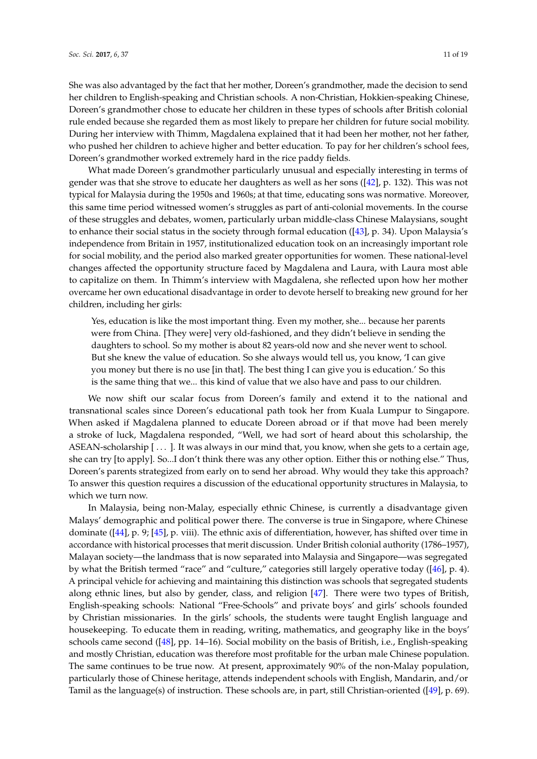She was also advantaged by the fact that her mother, Doreen's grandmother, made the decision to send her children to English-speaking and Christian schools. A non-Christian, Hokkien-speaking Chinese, Doreen's grandmother chose to educate her children in these types of schools after British colonial rule ended because she regarded them as most likely to prepare her children for future social mobility. During her interview with Thimm, Magdalena explained that it had been her mother, not her father, who pushed her children to achieve higher and better education. To pay for her children's school fees, Doreen's grandmother worked extremely hard in the rice paddy fields.

What made Doreen's grandmother particularly unusual and especially interesting in terms of gender was that she strove to educate her daughters as well as her sons ([42], p. 132). This was not typical for Malaysia during the 1950s and 1960s; at that time, educating sons was normative. Moreover, this same time period witnessed women's struggles as part of anti-colonial movements. In the course of these struggles and debates, women, particularly urban middle-class Chinese Malaysians, sought to enhance their social status in the society through formal education ([43], p. 34). Upon Malaysia's independence from Britain in 1957, institutionalized education took on an increasingly important role for social mobility, and the period also marked greater opportunities for women. These national-level changes affected the opportunity structure faced by Magdalena and Laura, with Laura most able to capitalize on them. In Thimm's interview with Magdalena, she reflected upon how her mother overcame her own educational disadvantage in order to devote herself to breaking new ground for her children, including her girls:

Yes, education is like the most important thing. Even my mother, she... because her parents were from China. [They were] very old-fashioned, and they didn't believe in sending the daughters to school. So my mother is about 82 years-old now and she never went to school. But she knew the value of education. So she always would tell us, you know, 'I can give you money but there is no use [in that]. The best thing I can give you is education.' So this is the same thing that we... this kind of value that we also have and pass to our children.

We now shift our scalar focus from Doreen's family and extend it to the national and transnational scales since Doreen's educational path took her from Kuala Lumpur to Singapore. When asked if Magdalena planned to educate Doreen abroad or if that move had been merely a stroke of luck, Magdalena responded, "Well, we had sort of heard about this scholarship, the ASEAN-scholarship [...]. It was always in our mind that, you know, when she gets to a certain age, she can try [to apply]. So...I don't think there was any other option. Either this or nothing else." Thus, Doreen's parents strategized from early on to send her abroad. Why would they take this approach? To answer this question requires a discussion of the educational opportunity structures in Malaysia, to which we turn now.

In Malaysia, being non-Malay, especially ethnic Chinese, is currently a disadvantage given Malays' demographic and political power there. The converse is true in Singapore, where Chinese dominate ([44], p. 9; [45], p. viii). The ethnic axis of differentiation, however, has shifted over time in accordance with historical processes that merit discussion. Under British colonial authority (1786–1957), Malayan society—the landmass that is now separated into Malaysia and Singapore—was segregated by what the British termed "race" and "culture," categories still largely operative today ( $[46]$ , p. 4). A principal vehicle for achieving and maintaining this distinction was schools that segregated students along ethnic lines, but also by gender, class, and religion [47]. There were two types of British, English-speaking schools: National "Free-Schools" and private boys' and girls' schools founded by Christian missionaries. In the girls' schools, the students were taught English language and housekeeping. To educate them in reading, writing, mathematics, and geography like in the boys' schools came second ([48], pp. 14–16). Social mobility on the basis of British, i.e., English-speaking and mostly Christian, education was therefore most profitable for the urban male Chinese population. The same continues to be true now. At present, approximately 90% of the non-Malay population, particularly those of Chinese heritage, attends independent schools with English, Mandarin, and/or Tamil as the language(s) of instruction. These schools are, in part, still Christian-oriented ([49], p. 69).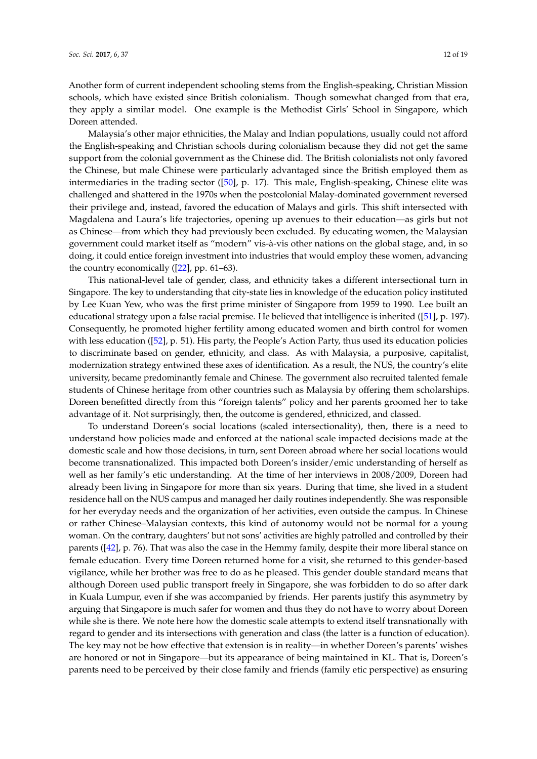Another form of current independent schooling stems from the English-speaking, Christian Mission schools, which have existed since British colonialism. Though somewhat changed from that era, they apply a similar model. One example is the Methodist Girls' School in Singapore, which Doreen attended.

Malaysia's other major ethnicities, the Malay and Indian populations, usually could not afford the English-speaking and Christian schools during colonialism because they did not get the same support from the colonial government as the Chinese did. The British colonialists not only favored the Chinese, but male Chinese were particularly advantaged since the British employed them as intermediaries in the trading sector ([50], p. 17). This male, English-speaking, Chinese elite was challenged and shattered in the 1970s when the postcolonial Malay-dominated government reversed their privilege and, instead, favored the education of Malays and girls. This shift intersected with Magdalena and Laura's life trajectories, opening up avenues to their education—as girls but not as Chinese—from which they had previously been excluded. By educating women, the Malaysian government could market itself as "modern" vis-à-vis other nations on the global stage, and, in so doing, it could entice foreign investment into industries that would employ these women, advancing the country economically ([22], pp. 61–63).

This national-level tale of gender, class, and ethnicity takes a different intersectional turn in Singapore. The key to understanding that city-state lies in knowledge of the education policy instituted by Lee Kuan Yew, who was the first prime minister of Singapore from 1959 to 1990. Lee built an educational strategy upon a false racial premise. He believed that intelligence is inherited ([51], p. 197). Consequently, he promoted higher fertility among educated women and birth control for women with less education ([52], p. 51). His party, the People's Action Party, thus used its education policies to discriminate based on gender, ethnicity, and class. As with Malaysia, a purposive, capitalist, modernization strategy entwined these axes of identification. As a result, the NUS, the country's elite university, became predominantly female and Chinese. The government also recruited talented female students of Chinese heritage from other countries such as Malaysia by offering them scholarships. Doreen benefitted directly from this "foreign talents" policy and her parents groomed her to take advantage of it. Not surprisingly, then, the outcome is gendered, ethnicized, and classed.

To understand Doreen's social locations (scaled intersectionality), then, there is a need to understand how policies made and enforced at the national scale impacted decisions made at the domestic scale and how those decisions, in turn, sent Doreen abroad where her social locations would become transnationalized. This impacted both Doreen's insider/emic understanding of herself as well as her family's etic understanding. At the time of her interviews in 2008/2009, Doreen had already been living in Singapore for more than six years. During that time, she lived in a student residence hall on the NUS campus and managed her daily routines independently. She was responsible for her everyday needs and the organization of her activities, even outside the campus. In Chinese or rather Chinese–Malaysian contexts, this kind of autonomy would not be normal for a young woman. On the contrary, daughters' but not sons' activities are highly patrolled and controlled by their parents ([42], p. 76). That was also the case in the Hemmy family, despite their more liberal stance on female education. Every time Doreen returned home for a visit, she returned to this gender-based vigilance, while her brother was free to do as he pleased. This gender double standard means that although Doreen used public transport freely in Singapore, she was forbidden to do so after dark in Kuala Lumpur, even if she was accompanied by friends. Her parents justify this asymmetry by arguing that Singapore is much safer for women and thus they do not have to worry about Doreen while she is there. We note here how the domestic scale attempts to extend itself transnationally with regard to gender and its intersections with generation and class (the latter is a function of education). The key may not be how effective that extension is in reality—in whether Doreen's parents' wishes are honored or not in Singapore—but its appearance of being maintained in KL. That is, Doreen's parents need to be perceived by their close family and friends (family etic perspective) as ensuring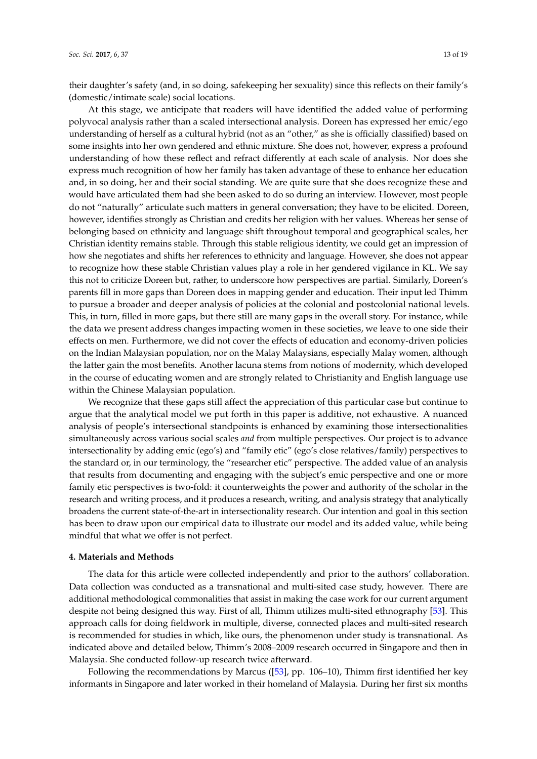their daughter's safety (and, in so doing, safekeeping her sexuality) since this reflects on their family's (domestic/intimate scale) social locations.

At this stage, we anticipate that readers will have identified the added value of performing polyvocal analysis rather than a scaled intersectional analysis. Doreen has expressed her emic/ego understanding of herself as a cultural hybrid (not as an "other," as she is officially classified) based on some insights into her own gendered and ethnic mixture. She does not, however, express a profound understanding of how these reflect and refract differently at each scale of analysis. Nor does she express much recognition of how her family has taken advantage of these to enhance her education and, in so doing, her and their social standing. We are quite sure that she does recognize these and would have articulated them had she been asked to do so during an interview. However, most people do not "naturally" articulate such matters in general conversation; they have to be elicited. Doreen, however, identifies strongly as Christian and credits her religion with her values. Whereas her sense of belonging based on ethnicity and language shift throughout temporal and geographical scales, her Christian identity remains stable. Through this stable religious identity, we could get an impression of how she negotiates and shifts her references to ethnicity and language. However, she does not appear to recognize how these stable Christian values play a role in her gendered vigilance in KL. We say this not to criticize Doreen but, rather, to underscore how perspectives are partial. Similarly, Doreen's parents fill in more gaps than Doreen does in mapping gender and education. Their input led Thimm to pursue a broader and deeper analysis of policies at the colonial and postcolonial national levels. This, in turn, filled in more gaps, but there still are many gaps in the overall story. For instance, while the data we present address changes impacting women in these societies, we leave to one side their effects on men. Furthermore, we did not cover the effects of education and economy-driven policies on the Indian Malaysian population, nor on the Malay Malaysians, especially Malay women, although the latter gain the most benefits. Another lacuna stems from notions of modernity, which developed in the course of educating women and are strongly related to Christianity and English language use within the Chinese Malaysian population.

We recognize that these gaps still affect the appreciation of this particular case but continue to argue that the analytical model we put forth in this paper is additive, not exhaustive. A nuanced analysis of people's intersectional standpoints is enhanced by examining those intersectionalities simultaneously across various social scales *and* from multiple perspectives. Our project is to advance intersectionality by adding emic (ego's) and "family etic" (ego's close relatives/family) perspectives to the standard or, in our terminology, the "researcher etic" perspective. The added value of an analysis that results from documenting and engaging with the subject's emic perspective and one or more family etic perspectives is two-fold: it counterweights the power and authority of the scholar in the research and writing process, and it produces a research, writing, and analysis strategy that analytically broadens the current state-of-the-art in intersectionality research. Our intention and goal in this section has been to draw upon our empirical data to illustrate our model and its added value, while being mindful that what we offer is not perfect.

## **4. Materials and Methods**

The data for this article were collected independently and prior to the authors' collaboration. Data collection was conducted as a transnational and multi-sited case study, however. There are additional methodological commonalities that assist in making the case work for our current argument despite not being designed this way. First of all, Thimm utilizes multi-sited ethnography [53]. This approach calls for doing fieldwork in multiple, diverse, connected places and multi-sited research is recommended for studies in which, like ours, the phenomenon under study is transnational. As indicated above and detailed below, Thimm's 2008–2009 research occurred in Singapore and then in Malaysia. She conducted follow-up research twice afterward.

Following the recommendations by Marcus ([53], pp. 106–10), Thimm first identified her key informants in Singapore and later worked in their homeland of Malaysia. During her first six months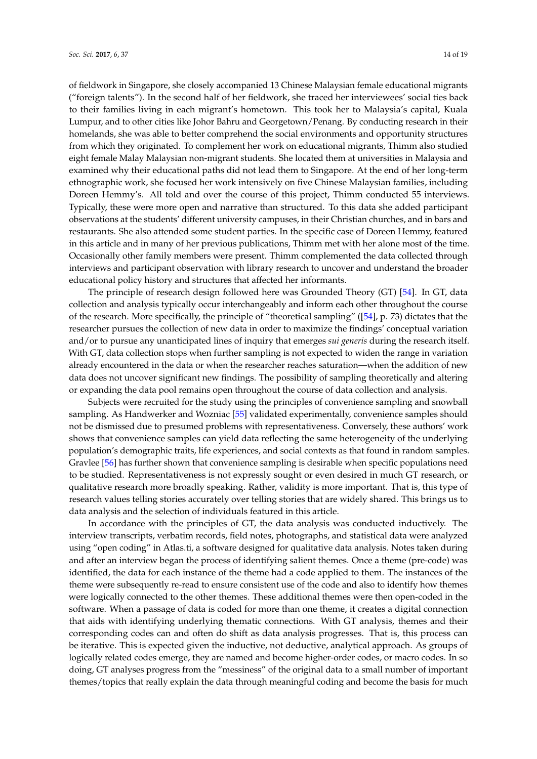of fieldwork in Singapore, she closely accompanied 13 Chinese Malaysian female educational migrants ("foreign talents"). In the second half of her fieldwork, she traced her interviewees' social ties back to their families living in each migrant's hometown. This took her to Malaysia's capital, Kuala Lumpur, and to other cities like Johor Bahru and Georgetown/Penang. By conducting research in their homelands, she was able to better comprehend the social environments and opportunity structures from which they originated. To complement her work on educational migrants, Thimm also studied eight female Malay Malaysian non-migrant students. She located them at universities in Malaysia and examined why their educational paths did not lead them to Singapore. At the end of her long-term ethnographic work, she focused her work intensively on five Chinese Malaysian families, including Doreen Hemmy's. All told and over the course of this project, Thimm conducted 55 interviews. Typically, these were more open and narrative than structured. To this data she added participant observations at the students' different university campuses, in their Christian churches, and in bars and restaurants. She also attended some student parties. In the specific case of Doreen Hemmy, featured in this article and in many of her previous publications, Thimm met with her alone most of the time. Occasionally other family members were present. Thimm complemented the data collected through interviews and participant observation with library research to uncover and understand the broader educational policy history and structures that affected her informants.

The principle of research design followed here was Grounded Theory (GT) [54]. In GT, data collection and analysis typically occur interchangeably and inform each other throughout the course of the research. More specifically, the principle of "theoretical sampling" ([54], p. 73) dictates that the researcher pursues the collection of new data in order to maximize the findings' conceptual variation and/or to pursue any unanticipated lines of inquiry that emerges *sui generis* during the research itself. With GT, data collection stops when further sampling is not expected to widen the range in variation already encountered in the data or when the researcher reaches saturation—when the addition of new data does not uncover significant new findings. The possibility of sampling theoretically and altering or expanding the data pool remains open throughout the course of data collection and analysis.

Subjects were recruited for the study using the principles of convenience sampling and snowball sampling. As Handwerker and Wozniac [55] validated experimentally, convenience samples should not be dismissed due to presumed problems with representativeness. Conversely, these authors' work shows that convenience samples can yield data reflecting the same heterogeneity of the underlying population's demographic traits, life experiences, and social contexts as that found in random samples. Gravlee [56] has further shown that convenience sampling is desirable when specific populations need to be studied. Representativeness is not expressly sought or even desired in much GT research, or qualitative research more broadly speaking. Rather, validity is more important. That is, this type of research values telling stories accurately over telling stories that are widely shared. This brings us to data analysis and the selection of individuals featured in this article.

In accordance with the principles of GT, the data analysis was conducted inductively. The interview transcripts, verbatim records, field notes, photographs, and statistical data were analyzed using "open coding" in Atlas.ti, a software designed for qualitative data analysis. Notes taken during and after an interview began the process of identifying salient themes. Once a theme (pre-code) was identified, the data for each instance of the theme had a code applied to them. The instances of the theme were subsequently re-read to ensure consistent use of the code and also to identify how themes were logically connected to the other themes. These additional themes were then open-coded in the software. When a passage of data is coded for more than one theme, it creates a digital connection that aids with identifying underlying thematic connections. With GT analysis, themes and their corresponding codes can and often do shift as data analysis progresses. That is, this process can be iterative. This is expected given the inductive, not deductive, analytical approach. As groups of logically related codes emerge, they are named and become higher-order codes, or macro codes. In so doing, GT analyses progress from the "messiness" of the original data to a small number of important themes/topics that really explain the data through meaningful coding and become the basis for much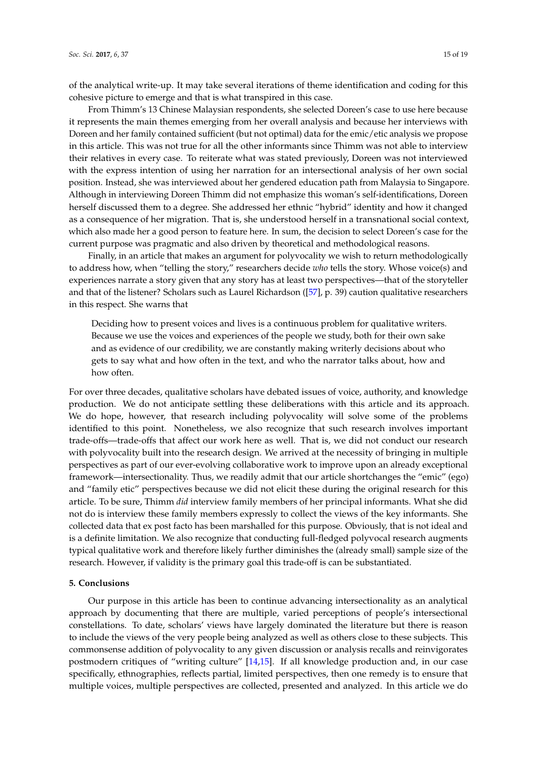of the analytical write-up. It may take several iterations of theme identification and coding for this cohesive picture to emerge and that is what transpired in this case.

From Thimm's 13 Chinese Malaysian respondents, she selected Doreen's case to use here because it represents the main themes emerging from her overall analysis and because her interviews with Doreen and her family contained sufficient (but not optimal) data for the emic/etic analysis we propose in this article. This was not true for all the other informants since Thimm was not able to interview their relatives in every case. To reiterate what was stated previously, Doreen was not interviewed with the express intention of using her narration for an intersectional analysis of her own social position. Instead, she was interviewed about her gendered education path from Malaysia to Singapore. Although in interviewing Doreen Thimm did not emphasize this woman's self-identifications, Doreen herself discussed them to a degree. She addressed her ethnic "hybrid" identity and how it changed as a consequence of her migration. That is, she understood herself in a transnational social context, which also made her a good person to feature here. In sum, the decision to select Doreen's case for the current purpose was pragmatic and also driven by theoretical and methodological reasons.

Finally, in an article that makes an argument for polyvocality we wish to return methodologically to address how, when "telling the story," researchers decide *who* tells the story. Whose voice(s) and experiences narrate a story given that any story has at least two perspectives—that of the storyteller and that of the listener? Scholars such as Laurel Richardson ([57], p. 39) caution qualitative researchers in this respect. She warns that

Deciding how to present voices and lives is a continuous problem for qualitative writers. Because we use the voices and experiences of the people we study, both for their own sake and as evidence of our credibility, we are constantly making writerly decisions about who gets to say what and how often in the text, and who the narrator talks about, how and how often.

For over three decades, qualitative scholars have debated issues of voice, authority, and knowledge production. We do not anticipate settling these deliberations with this article and its approach. We do hope, however, that research including polyvocality will solve some of the problems identified to this point. Nonetheless, we also recognize that such research involves important trade-offs—trade-offs that affect our work here as well. That is, we did not conduct our research with polyvocality built into the research design. We arrived at the necessity of bringing in multiple perspectives as part of our ever-evolving collaborative work to improve upon an already exceptional framework—intersectionality. Thus, we readily admit that our article shortchanges the "emic" (ego) and "family etic" perspectives because we did not elicit these during the original research for this article. To be sure, Thimm *did* interview family members of her principal informants. What she did not do is interview these family members expressly to collect the views of the key informants. She collected data that ex post facto has been marshalled for this purpose. Obviously, that is not ideal and is a definite limitation. We also recognize that conducting full-fledged polyvocal research augments typical qualitative work and therefore likely further diminishes the (already small) sample size of the research. However, if validity is the primary goal this trade-off is can be substantiated.

#### **5. Conclusions**

Our purpose in this article has been to continue advancing intersectionality as an analytical approach by documenting that there are multiple, varied perceptions of people's intersectional constellations. To date, scholars' views have largely dominated the literature but there is reason to include the views of the very people being analyzed as well as others close to these subjects. This commonsense addition of polyvocality to any given discussion or analysis recalls and reinvigorates postmodern critiques of "writing culture" [14,15]. If all knowledge production and, in our case specifically, ethnographies, reflects partial, limited perspectives, then one remedy is to ensure that multiple voices, multiple perspectives are collected, presented and analyzed. In this article we do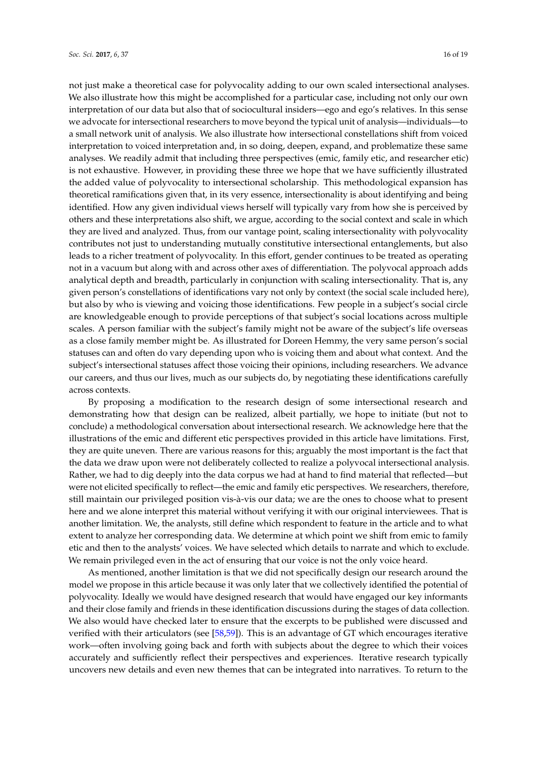not just make a theoretical case for polyvocality adding to our own scaled intersectional analyses. We also illustrate how this might be accomplished for a particular case, including not only our own interpretation of our data but also that of sociocultural insiders—ego and ego's relatives. In this sense we advocate for intersectional researchers to move beyond the typical unit of analysis—individuals—to a small network unit of analysis. We also illustrate how intersectional constellations shift from voiced interpretation to voiced interpretation and, in so doing, deepen, expand, and problematize these same analyses. We readily admit that including three perspectives (emic, family etic, and researcher etic) is not exhaustive. However, in providing these three we hope that we have sufficiently illustrated the added value of polyvocality to intersectional scholarship. This methodological expansion has theoretical ramifications given that, in its very essence, intersectionality is about identifying and being identified. How any given individual views herself will typically vary from how she is perceived by others and these interpretations also shift, we argue, according to the social context and scale in which they are lived and analyzed. Thus, from our vantage point, scaling intersectionality with polyvocality contributes not just to understanding mutually constitutive intersectional entanglements, but also leads to a richer treatment of polyvocality. In this effort, gender continues to be treated as operating not in a vacuum but along with and across other axes of differentiation. The polyvocal approach adds analytical depth and breadth, particularly in conjunction with scaling intersectionality. That is, any given person's constellations of identifications vary not only by context (the social scale included here), but also by who is viewing and voicing those identifications. Few people in a subject's social circle are knowledgeable enough to provide perceptions of that subject's social locations across multiple scales. A person familiar with the subject's family might not be aware of the subject's life overseas as a close family member might be. As illustrated for Doreen Hemmy, the very same person's social statuses can and often do vary depending upon who is voicing them and about what context. And the subject's intersectional statuses affect those voicing their opinions, including researchers. We advance our careers, and thus our lives, much as our subjects do, by negotiating these identifications carefully across contexts.

By proposing a modification to the research design of some intersectional research and demonstrating how that design can be realized, albeit partially, we hope to initiate (but not to conclude) a methodological conversation about intersectional research. We acknowledge here that the illustrations of the emic and different etic perspectives provided in this article have limitations. First, they are quite uneven. There are various reasons for this; arguably the most important is the fact that the data we draw upon were not deliberately collected to realize a polyvocal intersectional analysis. Rather, we had to dig deeply into the data corpus we had at hand to find material that reflected—but were not elicited specifically to reflect—the emic and family etic perspectives. We researchers, therefore, still maintain our privileged position vis-à-vis our data; we are the ones to choose what to present here and we alone interpret this material without verifying it with our original interviewees. That is another limitation. We, the analysts, still define which respondent to feature in the article and to what extent to analyze her corresponding data. We determine at which point we shift from emic to family etic and then to the analysts' voices. We have selected which details to narrate and which to exclude. We remain privileged even in the act of ensuring that our voice is not the only voice heard.

As mentioned, another limitation is that we did not specifically design our research around the model we propose in this article because it was only later that we collectively identified the potential of polyvocality. Ideally we would have designed research that would have engaged our key informants and their close family and friends in these identification discussions during the stages of data collection. We also would have checked later to ensure that the excerpts to be published were discussed and verified with their articulators (see [58,59]). This is an advantage of GT which encourages iterative work—often involving going back and forth with subjects about the degree to which their voices accurately and sufficiently reflect their perspectives and experiences. Iterative research typically uncovers new details and even new themes that can be integrated into narratives. To return to the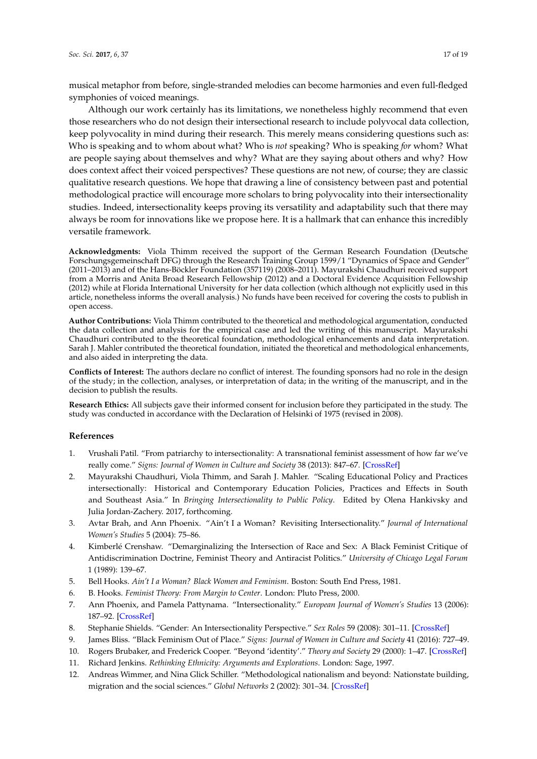musical metaphor from before, single-stranded melodies can become harmonies and even full-fledged symphonies of voiced meanings.

Although our work certainly has its limitations, we nonetheless highly recommend that even those researchers who do not design their intersectional research to include polyvocal data collection, keep polyvocality in mind during their research. This merely means considering questions such as: Who is speaking and to whom about what? Who is *not* speaking? Who is speaking *for* whom? What are people saying about themselves and why? What are they saying about others and why? How does context affect their voiced perspectives? These questions are not new, of course; they are classic qualitative research questions. We hope that drawing a line of consistency between past and potential methodological practice will encourage more scholars to bring polyvocality into their intersectionality studies. Indeed, intersectionality keeps proving its versatility and adaptability such that there may always be room for innovations like we propose here. It is a hallmark that can enhance this incredibly versatile framework.

**Acknowledgments:** Viola Thimm received the support of the German Research Foundation (Deutsche Forschungsgemeinschaft DFG) through the Research Training Group 1599/1 "Dynamics of Space and Gender" (2011–2013) and of the Hans-Böckler Foundation (357119) (2008–2011). Mayurakshi Chaudhuri received support from a Morris and Anita Broad Research Fellowship (2012) and a Doctoral Evidence Acquisition Fellowship (2012) while at Florida International University for her data collection (which although not explicitly used in this article, nonetheless informs the overall analysis.) No funds have been received for covering the costs to publish in open access.

**Author Contributions:** Viola Thimm contributed to the theoretical and methodological argumentation, conducted the data collection and analysis for the empirical case and led the writing of this manuscript. Mayurakshi Chaudhuri contributed to the theoretical foundation, methodological enhancements and data interpretation. Sarah J. Mahler contributed the theoretical foundation, initiated the theoretical and methodological enhancements, and also aided in interpreting the data.

**Conflicts of Interest:** The authors declare no conflict of interest. The founding sponsors had no role in the design of the study; in the collection, analyses, or interpretation of data; in the writing of the manuscript, and in the decision to publish the results.

**Research Ethics:** All subjects gave their informed consent for inclusion before they participated in the study. The study was conducted in accordance with the Declaration of Helsinki of 1975 (revised in 2008).

#### **References**

- 1. Vrushali Patil. "From patriarchy to intersectionality: A transnational feminist assessment of how far we've really come." *Signs: Journal of Women in Culture and Society* 38 (2013): 847–67. [CrossRef]
- 2. Mayurakshi Chaudhuri, Viola Thimm, and Sarah J. Mahler. "Scaling Educational Policy and Practices intersectionally: Historical and Contemporary Education Policies, Practices and Effects in South and Southeast Asia." In *Bringing Intersectionality to Public Policy*. Edited by Olena Hankivsky and Julia Jordan-Zachery. 2017, forthcoming.
- 3. Avtar Brah, and Ann Phoenix. "Ain't I a Woman? Revisiting Intersectionality." *Journal of International Women's Studies* 5 (2004): 75–86.
- 4. Kimberlé Crenshaw. "Demarginalizing the Intersection of Race and Sex: A Black Feminist Critique of Antidiscrimination Doctrine, Feminist Theory and Antiracist Politics." *University of Chicago Legal Forum* 1 (1989): 139–67.
- 5. Bell Hooks. *Ain't I a Woman? Black Women and Feminism*. Boston: South End Press, 1981.
- 6. B. Hooks. *Feminist Theory: From Margin to Center*. London: Pluto Press, 2000.
- 7. Ann Phoenix, and Pamela Pattynama. "Intersectionality." *European Journal of Women's Studies* 13 (2006): 187–92. [CrossRef]
- 8. Stephanie Shields. "Gender: An Intersectionality Perspective." *Sex Roles* 59 (2008): 301–11. [CrossRef]
- 9. James Bliss. "Black Feminism Out of Place." *Signs: Journal of Women in Culture and Society* 41 (2016): 727–49.
- 10. Rogers Brubaker, and Frederick Cooper. "Beyond 'identity'." *Theory and Society* 29 (2000): 1–47. [CrossRef]
- 11. Richard Jenkins. *Rethinking Ethnicity: Arguments and Explorations*. London: Sage, 1997.
- 12. Andreas Wimmer, and Nina Glick Schiller. "Methodological nationalism and beyond: Nationstate building, migration and the social sciences." *Global Networks* 2 (2002): 301–34. [CrossRef]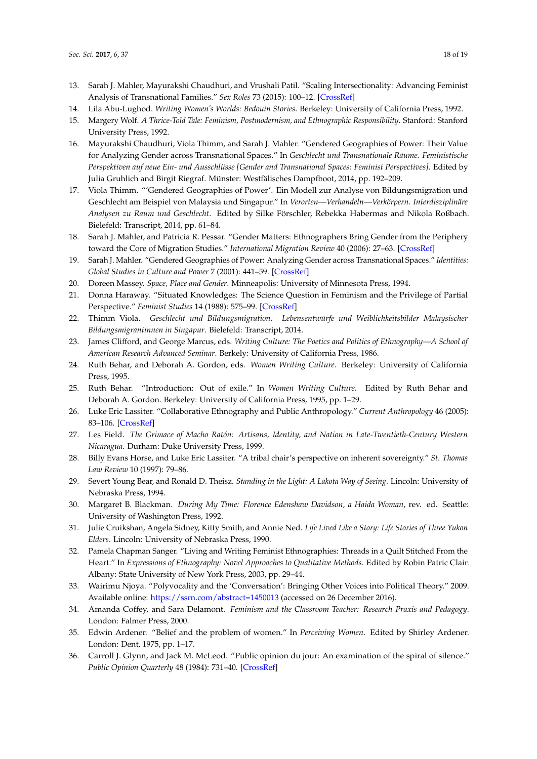- 13. Sarah J. Mahler, Mayurakshi Chaudhuri, and Vrushali Patil. "Scaling Intersectionality: Advancing Feminist Analysis of Transnational Families." *Sex Roles* 73 (2015): 100–12. [CrossRef]
- 14. Lila Abu-Lughod. *Writing Women's Worlds: Bedouin Stories*. Berkeley: University of California Press, 1992.
- 15. Margery Wolf. *A Thrice-Told Tale: Feminism, Postmodernism, and Ethnographic Responsibility*. Stanford: Stanford University Press, 1992.
- 16. Mayurakshi Chaudhuri, Viola Thimm, and Sarah J. Mahler. "Gendered Geographies of Power: Their Value for Analyzing Gender across Transnational Spaces." In *Geschlecht und Transnationale Räume. Feministische Perspektiven auf neue Ein- und Ausschlüsse [Gender and Transnational Spaces: Feminist Perspectives]*. Edited by Julia Gruhlich and Birgit Riegraf. Münster: Westfälisches Dampfboot, 2014, pp. 192–209.
- 17. Viola Thimm. "'Gendered Geographies of Power'. Ein Modell zur Analyse von Bildungsmigration und Geschlecht am Beispiel von Malaysia und Singapur." In *Verorten—Verhandeln—Verkörpern. Interdisziplinäre Analysen zu Raum und Geschlecht*. Edited by Silke Förschler, Rebekka Habermas and Nikola Roßbach. Bielefeld: Transcript, 2014, pp. 61–84.
- 18. Sarah J. Mahler, and Patricia R. Pessar. "Gender Matters: Ethnographers Bring Gender from the Periphery toward the Core of Migration Studies." *International Migration Review* 40 (2006): 27–63. [CrossRef]
- 19. Sarah J. Mahler. "Gendered Geographies of Power: Analyzing Gender across Transnational Spaces." *Identities: Global Studies in Culture and Power* 7 (2001): 441–59. [CrossRef]
- 20. Doreen Massey. *Space, Place and Gender*. Minneapolis: University of Minnesota Press, 1994.
- 21. Donna Haraway. "Situated Knowledges: The Science Question in Feminism and the Privilege of Partial Perspective." *Feminist Studies* 14 (1988): 575–99. [CrossRef]
- 22. Thimm Viola. *Geschlecht und Bildungsmigration. Lebensentwürfe und Weiblichkeitsbilder Malaysischer Bildungsmigrantinnen in Singapur*. Bielefeld: Transcript, 2014.
- 23. James Clifford, and George Marcus, eds. *Writing Culture: The Poetics and Politics of Ethnography—A School of American Research Advanced Seminar*. Berkely: University of California Press, 1986.
- 24. Ruth Behar, and Deborah A. Gordon, eds. *Women Writing Culture*. Berkeley: University of California Press, 1995.
- 25. Ruth Behar. "Introduction: Out of exile." In *Women Writing Culture*. Edited by Ruth Behar and Deborah A. Gordon. Berkeley: University of California Press, 1995, pp. 1–29.
- 26. Luke Eric Lassiter. "Collaborative Ethnography and Public Anthropology." *Current Anthropology* 46 (2005): 83–106. [CrossRef]
- 27. Les Field. *The Grimace of Macho Ratón: Artisans, Identity, and Nation in Late-Twentieth-Century Western Nicaragua*. Durham: Duke University Press, 1999.
- 28. Billy Evans Horse, and Luke Eric Lassiter. "A tribal chair's perspective on inherent sovereignty." *St. Thomas Law Review* 10 (1997): 79–86.
- 29. Severt Young Bear, and Ronald D. Theisz. *Standing in the Light: A Lakota Way of Seeing*. Lincoln: University of Nebraska Press, 1994.
- 30. Margaret B. Blackman. *During My Time: Florence Edenshaw Davidson, a Haida Woman*, rev. ed. Seattle: University of Washington Press, 1992.
- 31. Julie Cruikshan, Angela Sidney, Kitty Smith, and Annie Ned. *Life Lived Like a Story: Life Stories of Three Yukon Elders*. Lincoln: University of Nebraska Press, 1990.
- 32. Pamela Chapman Sanger. "Living and Writing Feminist Ethnographies: Threads in a Quilt Stitched From the Heart." In *Expressions of Ethnography: Novel Approaches to Qualitative Methods*. Edited by Robin Patric Clair. Albany: State University of New York Press, 2003, pp. 29–44.
- 33. Wairimu Njoya. "Polyvocality and the 'Conversation': Bringing Other Voices into Political Theory." 2009. Available online: https://ssrn.com/abstract=1450013 (accessed on 26 December 2016).
- 34. Amanda Coffey, and Sara Delamont. *Feminism and the Classroom Teacher: Research Praxis and Pedagogy*. London: Falmer Press, 2000.
- 35. Edwin Ardener. "Belief and the problem of women." In *Perceiving Women*. Edited by Shirley Ardener. London: Dent, 1975, pp. 1–17.
- 36. Carroll J. Glynn, and Jack M. McLeod. "Public opinion du jour: An examination of the spiral of silence." *Public Opinion Quarterly* 48 (1984): 731–40. [CrossRef]